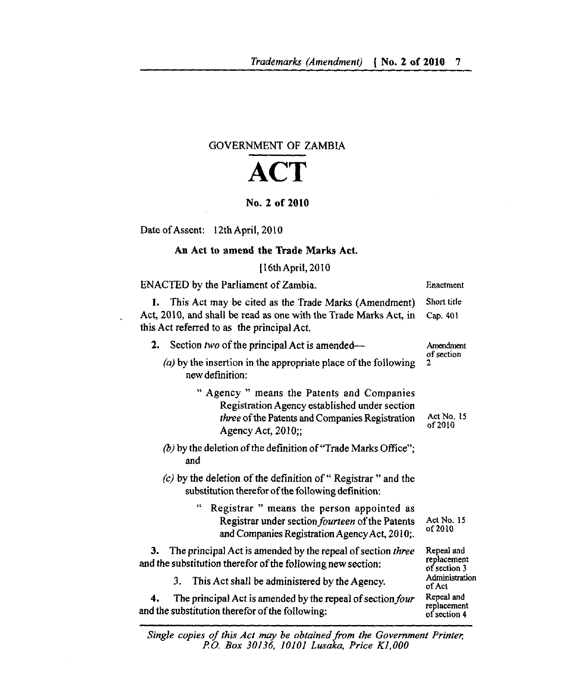## GOVERNMENT OF ZAMBIA

## ACT

## No. 2 of 2010

Date of Assent: 12th April, 2010

## An Act to amend the Trade Marks Act.

[16th April, 2010

| ENACTED by the Parliament of Zambia.                                                                                                                                    | Enactment                                 |
|-------------------------------------------------------------------------------------------------------------------------------------------------------------------------|-------------------------------------------|
| This Act may be cited as the Trade Marks (Amendment)<br>1.                                                                                                              | Short title                               |
| Act, 2010, and shall be read as one with the Trade Marks Act, in<br>this Act referred to as the principal Act.                                                          | Cap. 401                                  |
| Section two of the principal Act is amended—<br>2.                                                                                                                      | Amendment<br>of section<br>2              |
| $(a)$ by the insertion in the appropriate place of the following<br>new definition:                                                                                     |                                           |
| " Agency " means the Patents and Companies<br>Registration Agency established under section<br>three of the Patents and Companies Registration<br>Agency Act, $2010$ ;; | Act No. 15<br>of 2010                     |
| (b) by the deletion of the definition of "Trade Marks Office";<br>and                                                                                                   |                                           |
| $(c)$ by the deletion of the definition of "Registrar" and the<br>substitution therefor of the following definition:                                                    |                                           |
| Registrar " means the person appointed as<br>Registrar under section <i>fourteen</i> of the Patents<br>and Companies Registration Agency Act, 2010;.                    | Act No. 15<br>of 2010                     |
| The principal Act is amended by the repeal of section three<br>З.<br>and the substitution therefor of the following new section:                                        | Repeal and<br>replacement<br>of section 3 |
| This Act shall be administered by the Agency.<br>3.                                                                                                                     | Administration<br>of Act                  |
| The principal Act is amended by the repeal of section four<br>4.<br>and the substitution therefor of the following:                                                     | Repeal and<br>replacement<br>of section 4 |

*Single copies of this Act may be obtained from the Government Printer P.O. Box 30136, 10101 Lusaka, Price K1, 000*